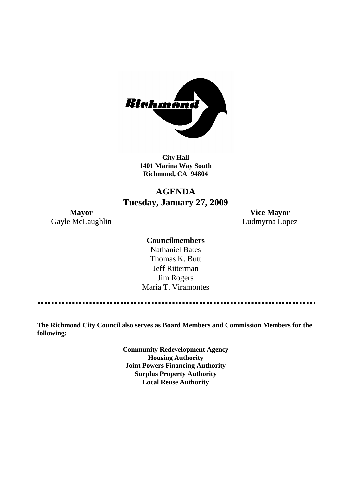

**City Hall 1401 Marina Way South Richmond, CA 94804**

## **AGENDA Tuesday, January 27, 2009**

**Mayor Vice Mayor** Gayle McLaughlin **Ludmyrna Lopez** 

## **Councilmembers**

Nathaniel Bates Thomas K. Butt Jeff Ritterman Jim Rogers Maria T. Viramontes

**The Richmond City Council also serves as Board Members and Commission Members for the following:**

> **Community Redevelopment Agency Housing Authority Joint Powers Financing Authority Surplus Property Authority Local Reuse Authority**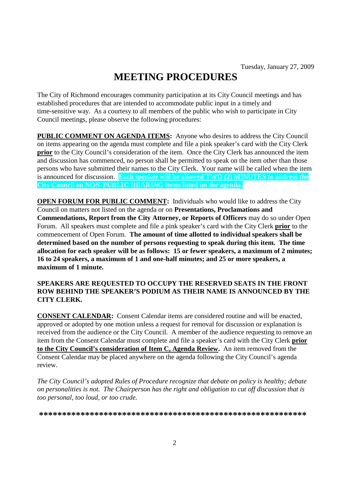# **MEETING PROCEDURES**

The City of Richmond encourages community participation at its City Council meetings and has established procedures that are intended to accommodate public input in a timely and time-sensitive way. As a courtesy to all members of the public who wish to participate in City Council meetings, please observe the following procedures:

**PUBLIC COMMENT ON AGENDA ITEMS:** Anyone who desires to address the City Council on items appearing on the agenda must complete and file a pink speaker's card with the City Clerk **prior** to the City Council's consideration of the item. Once the City Clerk has announced the item and discussion has commenced, no person shall be permitted to speak on the item other than those persons who have submitted their names to the City Clerk. Your name will be called when the item is announced for discussion. **Each speaker will be allowed TWO (2) MINUTES to address the City Council on NON-PUBLIC HEARING items listed on the agenda.**

**OPEN FORUM FOR PUBLIC COMMENT:** Individuals who would like to address the City Council on matters not listed on the agenda or on **Presentations, Proclamations and Commendations, Report from the City Attorney, or Reports of Officers** may do so under Open Forum. All speakers must complete and file a pink speaker's card with the City Clerk **prior** to the commencement of Open Forum. **The amount of time allotted to individual speakers shall be determined based on the number of persons requesting to speak during this item. The time allocation for each speaker will be as follows: 15 or fewer speakers, a maximum of 2 minutes; 16 to 24 speakers, a maximum of 1 and one-half minutes; and 25 or more speakers, a maximum of 1 minute.**

## **SPEAKERS ARE REQUESTED TO OCCUPY THE RESERVED SEATS IN THE FRONT ROW BEHIND THE SPEAKER'S PODIUM AS THEIR NAME IS ANNOUNCED BY THE CITY CLERK.**

**CONSENT CALENDAR:** Consent Calendar items are considered routine and will be enacted, approved or adopted by one motion unless a request for removal for discussion or explanation is received from the audience or the City Council. A member of the audience requesting to remove an item from the Consent Calendar must complete and file a speaker's card with the City Clerk **prior to the City Council's consideration of Item C, Agenda Review.** An item removed from the Consent Calendar may be placed anywhere on the agenda following the City Council's agenda review.

*The City Council's adopted Rules of Procedure recognize that debate on policy is healthy; debate on personalities is not. The Chairperson has the right and obligation to cut off discussion that is too personal, too loud, or too crude.*

**\*\*\*\*\*\*\*\*\*\*\*\*\*\*\*\*\*\*\*\*\*\*\*\*\*\*\*\*\*\*\*\*\*\*\*\*\*\*\*\*\*\*\*\*\*\*\*\*\*\*\*\*\*\*\*\*\*\***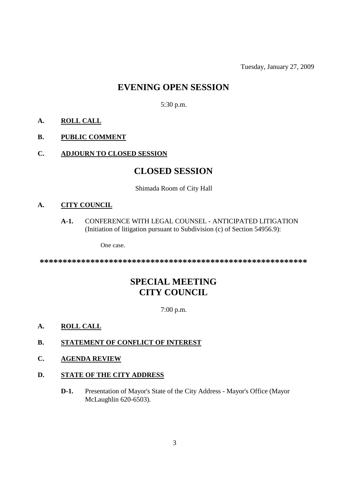Tuesday, January 27, 2009

## **EVENING OPEN SESSION**

5:30 p.m.

## **A. ROLL CALL**

## **B. PUBLIC COMMENT**

## **C. ADJOURN TO CLOSED SESSION**

## **CLOSED SESSION**

### Shimada Room of City Hall

## **A. CITY COUNCIL**

**A-1.** CONFERENCE WITH LEGAL COUNSEL - ANTICIPATED LITIGATION (Initiation of litigation pursuant to Subdivision (c) of Section 54956.9):

One case.

**\*\*\*\*\*\*\*\*\*\*\*\*\*\*\*\*\*\*\*\*\*\*\*\*\*\*\*\*\*\*\*\*\*\*\*\*\*\*\*\*\*\*\*\*\*\*\*\*\*\*\*\*\*\*\*\*\*\***

## **SPECIAL MEETING CITY COUNCIL**

7:00 p.m.

## **A. ROLL CALL**

## **B. STATEMENT OF CONFLICT OF INTEREST**

## **C. AGENDA REVIEW**

### **D. STATE OF THE CITY ADDRESS**

**D-1.** Presentation of Mayor's State of the City Address - Mayor's Office (Mayor McLaughlin 620-6503).